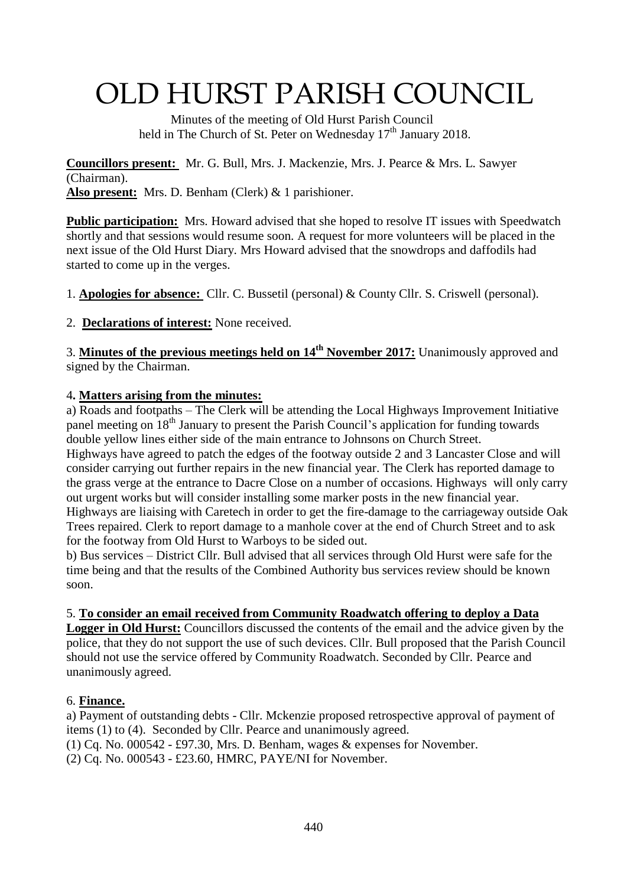# OLD HURST PARISH COUNCIL

 Minutes of the meeting of Old Hurst Parish Council held in The Church of St. Peter on Wednesday  $17<sup>th</sup>$  January 2018.

**Councillors present:** Mr. G. Bull, Mrs. J. Mackenzie, Mrs. J. Pearce & Mrs. L. Sawyer (Chairman). **Also present:** Mrs. D. Benham (Clerk) & 1 parishioner.

**Public participation:** Mrs. Howard advised that she hoped to resolve IT issues with Speedwatch shortly and that sessions would resume soon. A request for more volunteers will be placed in the next issue of the Old Hurst Diary. Mrs Howard advised that the snowdrops and daffodils had started to come up in the verges.

1. **Apologies for absence:** Cllr. C. Bussetil (personal) & County Cllr. S. Criswell (personal).

2. **Declarations of interest:** None received.

3. **Minutes of the previous meetings held on 14th November 2017:** Unanimously approved and signed by the Chairman.

#### 4**. Matters arising from the minutes:**

a) Roads and footpaths – The Clerk will be attending the Local Highways Improvement Initiative panel meeting on 18<sup>th</sup> January to present the Parish Council's application for funding towards double yellow lines either side of the main entrance to Johnsons on Church Street. Highways have agreed to patch the edges of the footway outside 2 and 3 Lancaster Close and will consider carrying out further repairs in the new financial year. The Clerk has reported damage to the grass verge at the entrance to Dacre Close on a number of occasions. Highways will only carry out urgent works but will consider installing some marker posts in the new financial year. Highways are liaising with Caretech in order to get the fire-damage to the carriageway outside Oak Trees repaired. Clerk to report damage to a manhole cover at the end of Church Street and to ask for the footway from Old Hurst to Warboys to be sided out.

b) Bus services – District Cllr. Bull advised that all services through Old Hurst were safe for the time being and that the results of the Combined Authority bus services review should be known soon.

## 5. **To consider an email received from Community Roadwatch offering to deploy a Data**

**Logger in Old Hurst:** Councillors discussed the contents of the email and the advice given by the police, that they do not support the use of such devices. Cllr. Bull proposed that the Parish Council should not use the service offered by Community Roadwatch. Seconded by Cllr. Pearce and unanimously agreed.

## 6. **Finance.**

a) Payment of outstanding debts - Cllr. Mckenzie proposed retrospective approval of payment of items (1) to (4). Seconded by Cllr. Pearce and unanimously agreed.

(1) Cq. No. 000542 - £97.30, Mrs. D. Benham, wages & expenses for November.

(2) Cq. No. 000543 - £23.60, HMRC, PAYE/NI for November.